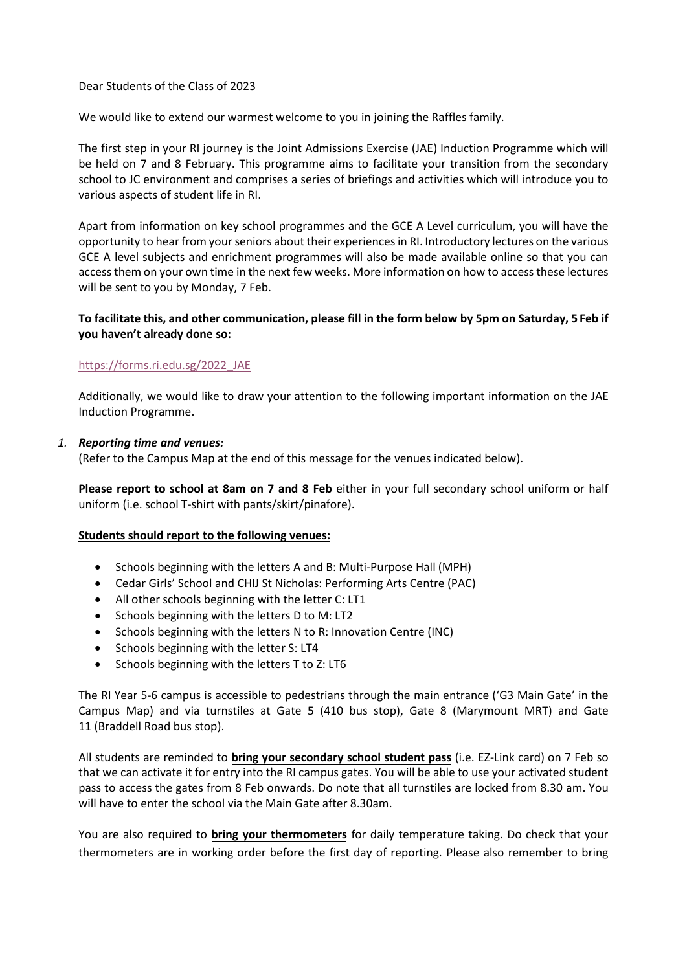#### Dear Students of the Class of 2023

We would like to extend our warmest welcome to you in joining the Raffles family.

The first step in your RI journey is the Joint Admissions Exercise (JAE) Induction Programme which will be held on 7 and 8 February. This programme aims to facilitate your transition from the secondary school to JC environment and comprises a series of briefings and activities which will introduce you to various aspects of student life in RI.

Apart from information on key school programmes and the GCE A Level curriculum, you will have the opportunity to hear from your seniors about their experiences in RI. Introductory lectures on the various GCE A level subjects and enrichment programmes will also be made available online so that you can access them on your own time in the next few weeks. More information on how to access these lectures will be sent to you by Monday, 7 Feb.

# **To facilitate this, and other communication, please fill in the form below by 5pm on Saturday, 5 Feb if you haven't already done so:**

# [https://forms.ri.edu.sg/2022\\_JAE](https://forms.ri.edu.sg/2022_JAE)

Additionally, we would like to draw your attention to the following important information on the JAE Induction Programme.

#### *1. Reporting time and venues:*

(Refer to the Campus Map at the end of this message for the venues indicated below).

**Please report to school at 8am on 7 and 8 Feb** either in your full secondary school uniform or half uniform (i.e. school T-shirt with pants/skirt/pinafore).

#### **Students should report to the following venues:**

- Schools beginning with the letters A and B: Multi-Purpose Hall (MPH)
- Cedar Girls' School and CHIJ St Nicholas: Performing Arts Centre (PAC)
- All other schools beginning with the letter C: LT1
- Schools beginning with the letters D to M: LT2
- Schools beginning with the letters N to R: Innovation Centre (INC)
- Schools beginning with the letter S: LT4
- Schools beginning with the letters T to Z: LT6

The RI Year 5-6 campus is accessible to pedestrians through the main entrance ('G3 Main Gate' in the Campus Map) and via turnstiles at Gate 5 (410 bus stop), Gate 8 (Marymount MRT) and Gate 11 (Braddell Road bus stop).

All students are reminded to **bring your secondary school student pass** (i.e. EZ-Link card) on 7 Feb so that we can activate it for entry into the RI campus gates. You will be able to use your activated student pass to access the gates from 8 Feb onwards. Do note that all turnstiles are locked from 8.30 am. You will have to enter the school via the Main Gate after 8.30am.

You are also required to **bring your thermometers** for daily temperature taking. Do check that your thermometers are in working order before the first day of reporting. Please also remember to bring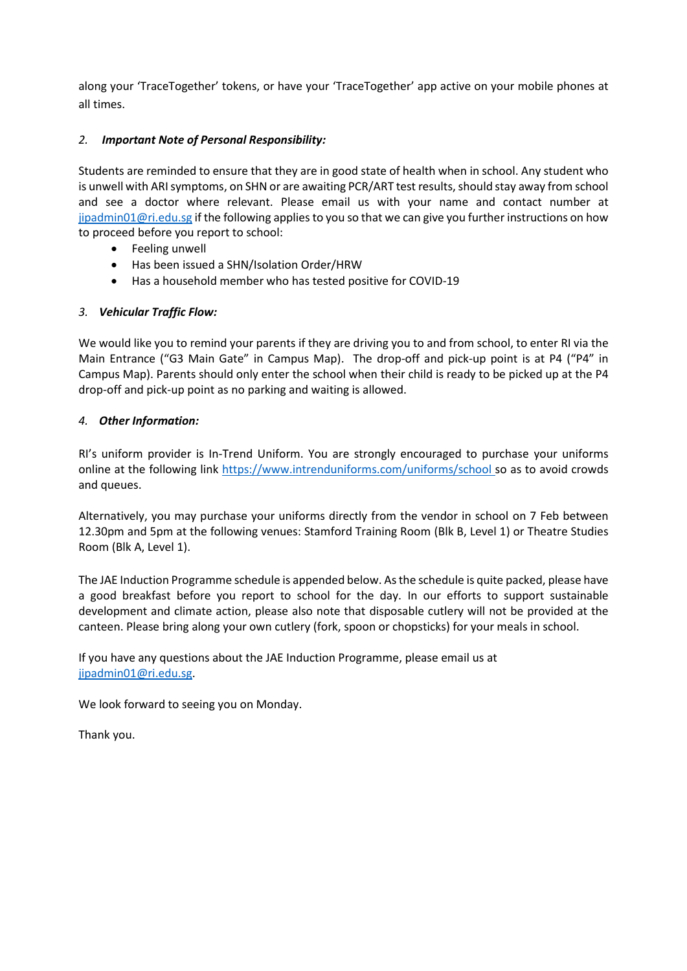along your 'TraceTogether' tokens, or have your 'TraceTogether' app active on your mobile phones at all times.

# *2. Important Note of Personal Responsibility:*

Students are reminded to ensure that they are in good state of health when in school. Any student who is unwell with ARI symptoms, on SHN or are awaiting PCR/ART test results, should stay away from school and see a doctor where relevant. Please email us with your name and contact number at [jipadmin01@ri.edu.sg](mailto:jipadmin01@ri.edu.sg) if the following applies to you so that we can give you further instructions on how to proceed before you report to school:

- Feeling unwell
- Has been issued a SHN/Isolation Order/HRW
- Has a household member who has tested positive for COVID-19

# *3. Vehicular Traffic Flow:*

We would like you to remind your parents if they are driving you to and from school, to enter RI via the Main Entrance ("G3 Main Gate" in Campus Map). The drop-off and pick-up point is at P4 ("P4" in Campus Map). Parents should only enter the school when their child is ready to be picked up at the P4 drop-off and pick-up point as no parking and waiting is allowed.

# *4. Other Information:*

RI's uniform provider is In-Trend Uniform. You are strongly encouraged to purchase your uniforms online at the following link <https://www.intrenduniforms.com/uniforms/school> so as to avoid crowds and queues.

Alternatively, you may purchase your uniforms directly from the vendor in school on 7 Feb between 12.30pm and 5pm at the following venues: Stamford Training Room (Blk B, Level 1) or Theatre Studies Room (Blk A, Level 1).

The JAE Induction Programme schedule is appended below. As the schedule is quite packed, please have a good breakfast before you report to school for the day. In our efforts to support sustainable development and climate action, please also note that disposable cutlery will not be provided at the canteen. Please bring along your own cutlery (fork, spoon or chopsticks) for your meals in school.

If you have any questions about the JAE Induction Programme, please email us at [jipadmin01@ri.edu.sg.](mailto:jipadmin01@ri.edu.sg)

We look forward to seeing you on Monday.

Thank you.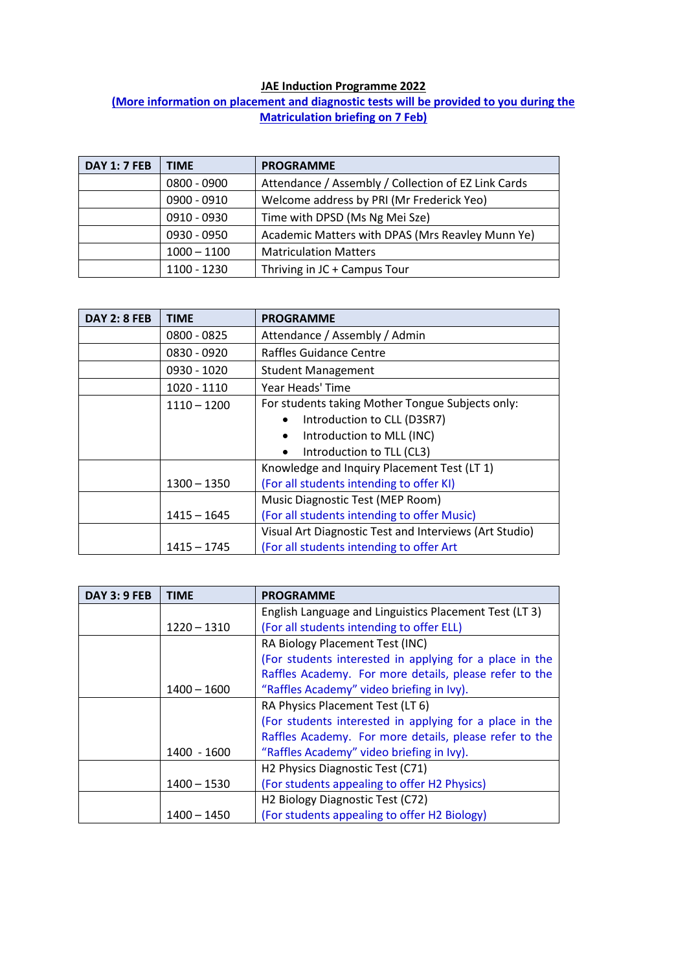# **JAE Induction Programme 2022**

# **(More information on placement and diagnostic tests will be provided to you during the Matriculation briefing on 7 Feb)**

| <b>DAY 1: 7 FEB</b> | <b>TIME</b>   | <b>PROGRAMME</b>                                    |
|---------------------|---------------|-----------------------------------------------------|
|                     | 0800 - 0900   | Attendance / Assembly / Collection of EZ Link Cards |
|                     | 0900 - 0910   | Welcome address by PRI (Mr Frederick Yeo)           |
|                     | 0910 - 0930   | Time with DPSD (Ms Ng Mei Sze)                      |
|                     | 0930 - 0950   | Academic Matters with DPAS (Mrs Reavley Munn Ye)    |
|                     | $1000 - 1100$ | <b>Matriculation Matters</b>                        |
|                     | 1100 - 1230   | Thriving in JC + Campus Tour                        |

| <b>DAY 2: 8 FEB</b> | <b>TIME</b>   | <b>PROGRAMME</b>                                       |
|---------------------|---------------|--------------------------------------------------------|
|                     | 0800 - 0825   | Attendance / Assembly / Admin                          |
|                     | 0830 - 0920   | Raffles Guidance Centre                                |
|                     | 0930 - 1020   | <b>Student Management</b>                              |
|                     | 1020 - 1110   | Year Heads' Time                                       |
|                     | $1110 - 1200$ | For students taking Mother Tongue Subjects only:       |
|                     |               | Introduction to CLL (D3SR7)                            |
|                     |               | Introduction to MLL (INC)                              |
|                     |               | Introduction to TLL (CL3)<br>$\bullet$                 |
|                     |               | Knowledge and Inquiry Placement Test (LT 1)            |
|                     | $1300 - 1350$ | (For all students intending to offer KI)               |
|                     |               | Music Diagnostic Test (MEP Room)                       |
|                     | $1415 - 1645$ | (For all students intending to offer Music)            |
|                     |               | Visual Art Diagnostic Test and Interviews (Art Studio) |
|                     | 1415 – 1745   | (For all students intending to offer Art               |

| <b>DAY 3: 9 FEB</b> | <b>TIME</b>   | <b>PROGRAMME</b>                                        |
|---------------------|---------------|---------------------------------------------------------|
|                     |               | English Language and Linguistics Placement Test (LT 3)  |
|                     | $1220 - 1310$ | (For all students intending to offer ELL)               |
|                     |               | RA Biology Placement Test (INC)                         |
|                     |               | (For students interested in applying for a place in the |
|                     |               | Raffles Academy. For more details, please refer to the  |
|                     | $1400 - 1600$ | "Raffles Academy" video briefing in Ivy).               |
|                     |               | RA Physics Placement Test (LT 6)                        |
|                     |               | (For students interested in applying for a place in the |
|                     |               | Raffles Academy. For more details, please refer to the  |
|                     | 1400 - 1600   | "Raffles Academy" video briefing in Ivy).               |
|                     |               | H2 Physics Diagnostic Test (C71)                        |
|                     | $1400 - 1530$ | (For students appealing to offer H2 Physics)            |
|                     |               | H <sub>2</sub> Biology Diagnostic Test (C72)            |
|                     | 1400 - 1450   | (For students appealing to offer H2 Biology)            |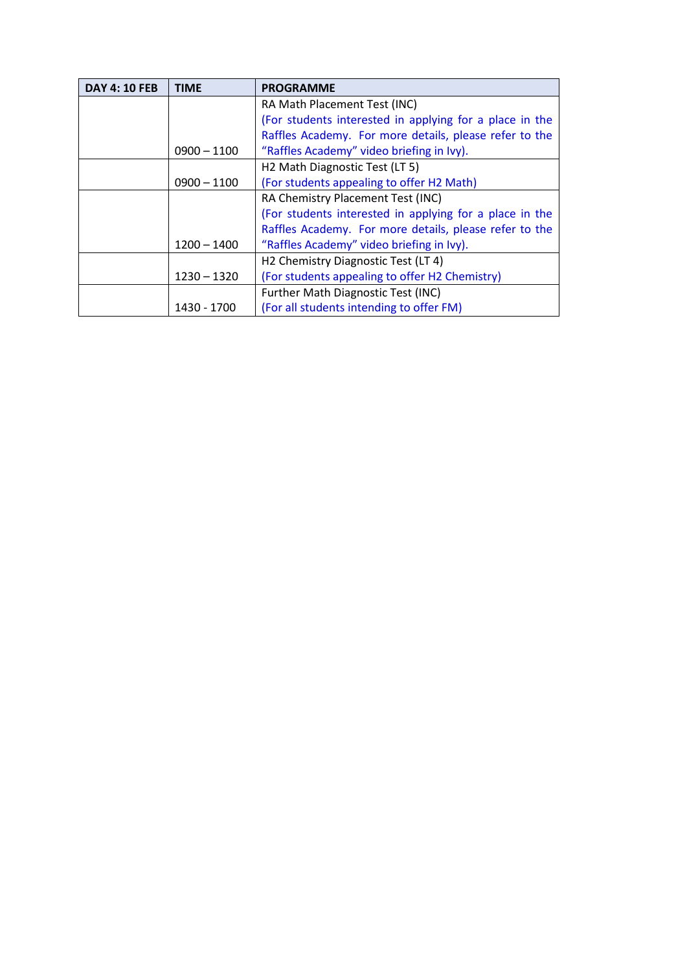| <b>DAY 4: 10 FEB</b> | <b>TIME</b>   | <b>PROGRAMME</b>                                        |
|----------------------|---------------|---------------------------------------------------------|
|                      |               | RA Math Placement Test (INC)                            |
|                      |               | (For students interested in applying for a place in the |
|                      |               | Raffles Academy. For more details, please refer to the  |
|                      | $0900 - 1100$ | "Raffles Academy" video briefing in Ivy).               |
|                      |               | H2 Math Diagnostic Test (LT 5)                          |
|                      | $0900 - 1100$ | (For students appealing to offer H2 Math)               |
|                      |               | RA Chemistry Placement Test (INC)                       |
|                      |               | (For students interested in applying for a place in the |
|                      |               | Raffles Academy. For more details, please refer to the  |
|                      | $1200 - 1400$ | "Raffles Academy" video briefing in Ivy).               |
|                      |               | H2 Chemistry Diagnostic Test (LT 4)                     |
|                      | $1230 - 1320$ | (For students appealing to offer H2 Chemistry)          |
|                      |               | Further Math Diagnostic Test (INC)                      |
|                      | 1430 - 1700   | (For all students intending to offer FM)                |